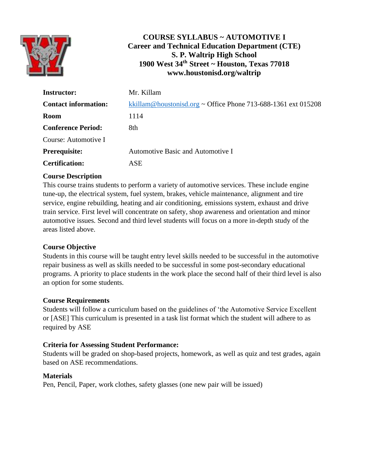

# **COURSE SYLLABUS ~ AUTOMOTIVE I Career and Technical Education Department (CTE) S. P. Waltrip High School 1900 West 34th Street ~ Houston, Texas 77018 www.houstonisd.org/waltrip**

| <b>Instructor:</b>          | Mr. Killam                                                    |
|-----------------------------|---------------------------------------------------------------|
| <b>Contact information:</b> | kkillam@houstonisd.org ~ Office Phone 713-688-1361 ext 015208 |
| <b>Room</b>                 | 1114                                                          |
| <b>Conference Period:</b>   | 8th                                                           |
| Course: Automotive I        |                                                               |
| Prerequisite:               | Automotive Basic and Automotive I                             |
| <b>Certification:</b>       | ASE                                                           |

## **Course Description**

This course trains students to perform a variety of automotive services. These include engine tune-up, the electrical system, fuel system, brakes, vehicle maintenance, alignment and tire service, engine rebuilding, heating and air conditioning, emissions system, exhaust and drive train service. First level will concentrate on safety, shop awareness and orientation and minor automotive issues. Second and third level students will focus on a more in-depth study of the areas listed above.

## **Course Objective**

Students in this course will be taught entry level skills needed to be successful in the automotive repair business as well as skills needed to be successful in some post-secondary educational programs. A priority to place students in the work place the second half of their third level is also an option for some students.

#### **Course Requirements**

Students will follow a curriculum based on the guidelines of 'the Automotive Service Excellent or [ASE] This curriculum is presented in a task list format which the student will adhere to as required by ASE

#### **Criteria for Assessing Student Performance:**

Students will be graded on shop-based projects, homework, as well as quiz and test grades, again based on ASE recommendations.

#### **Materials**

Pen, Pencil, Paper, work clothes, safety glasses (one new pair will be issued)